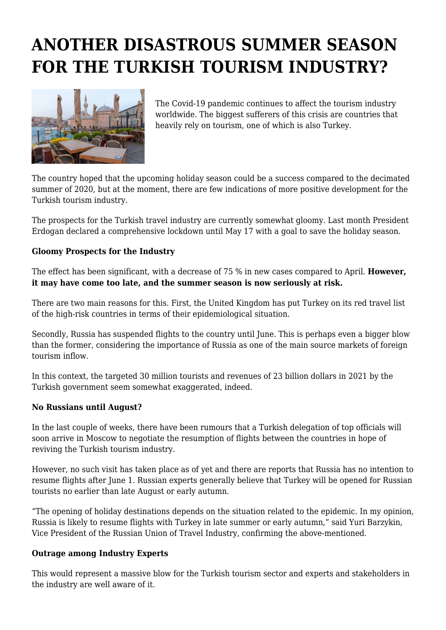## **ANOTHER DISASTROUS SUMMER SEASON FOR THE TURKISH TOURISM INDUSTRY?**



The Covid-19 pandemic continues to affect the tourism industry worldwide. The biggest sufferers of this crisis are countries that heavily rely on tourism, one of which is also Turkey.

The country hoped that the upcoming holiday season could be a success compared to the decimated summer of 2020, but at the moment, there are few indications of more positive development for the Turkish tourism industry.

The prospects for the Turkish travel industry are currently somewhat gloomy. Last month President Erdogan declared a comprehensive lockdown until May 17 with a goal to save the holiday season.

## **Gloomy Prospects for the Industry**

The effect has been significant, with a decrease of 75 % in new cases compared to April. **However, it may have come too late, and the summer season is now seriously at risk.**

There are two main reasons for this. First, the United Kingdom has put Turkey on its red travel list of the high-risk countries in terms of their epidemiological situation.

Secondly, Russia has suspended flights to the country until June. This is perhaps even a bigger blow than the former, considering the importance of Russia as one of the main source markets of foreign tourism inflow.

In this context, the targeted 30 million tourists and revenues of 23 billion dollars in 2021 by the Turkish government seem somewhat exaggerated, indeed.

## **No Russians until August?**

In the last couple of weeks, there have been rumours that a Turkish delegation of top officials will soon arrive in Moscow to negotiate the resumption of flights between the countries in hope of reviving the Turkish tourism industry.

However, no such visit has taken place as of yet and there are reports that Russia has no intention to resume flights after June 1. Russian experts generally believe that Turkey will be opened for Russian tourists no earlier than late August or early autumn.

"The opening of holiday destinations depends on the situation related to the epidemic. In my opinion, Russia is likely to resume flights with Turkey in late summer or early autumn," said Yuri Barzykin, Vice President of the Russian Union of Travel Industry, confirming the above-mentioned.

## **Outrage among Industry Experts**

This would represent a massive blow for the Turkish tourism sector and experts and stakeholders in the industry are well aware of it.